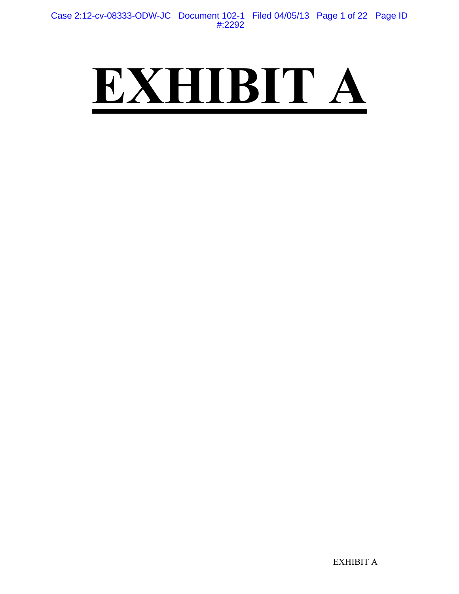# **EXHIBIT A**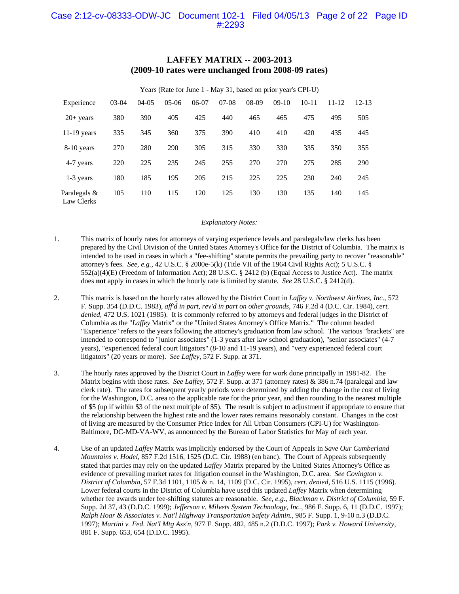#### **LAFFEY MATRIX -- 2003-2013 (2009-10 rates were unchanged from 2008-09 rates)**

|                            |         |         |         |         |         |       | Years (Rate for June 1 - May 31, based on prior year's CPI-U) |           |           |           |
|----------------------------|---------|---------|---------|---------|---------|-------|---------------------------------------------------------------|-----------|-----------|-----------|
| Experience                 | $03-04$ | $04-05$ | $05-06$ | $06-07$ | $07-08$ | 08-09 | $09-10$                                                       | $10 - 11$ | $11 - 12$ | $12 - 13$ |
| $20+$ years                | 380     | 390     | 405     | 425     | 440     | 465   | 465                                                           | 475       | 495       | 505       |
| $11-19$ years              | 335     | 345     | 360     | 375     | 390     | 410   | 410                                                           | 420       | 435       | 445       |
| 8-10 years                 | 270     | 280     | 290     | 305     | 315     | 330   | 330                                                           | 335       | 350       | 355       |
| 4-7 years                  | 220     | 225     | 235     | 245     | 255     | 270   | 270                                                           | 275       | 285       | 290       |
| 1-3 years                  | 180     | 185     | 195     | 205     | 215     | 225   | 225                                                           | 230       | 240       | 245       |
| Paralegals &<br>Law Clerks | 105     | 110     | 115     | 120     | 125     | 130   | 130                                                           | 135       | 140       | 145       |

#### *Explanatory Notes:*

- 1. This matrix of hourly rates for attorneys of varying experience levels and paralegals/law clerks has been prepared by the Civil Division of the United States Attorney's Office for the District of Columbia. The matrix is intended to be used in cases in which a "fee-shifting" statute permits the prevailing party to recover "reasonable" attorney's fees. *See, e.g.,* 42 U.S.C. § 2000e-5(k) (Title VII of the 1964 Civil Rights Act); 5 U.S.C. § 552(a)(4)(E) (Freedom of Information Act); 28 U.S.C. § 2412 (b) (Equal Access to Justice Act). The matrix does **not** apply in cases in which the hourly rate is limited by statute. *See* 28 U.S.C. § 2412(d).
- 2. This matrix is based on the hourly rates allowed by the District Court in *Laffey v. Northwest Airlines, Inc.*, 572 F. Supp. 354 (D.D.C. 1983), *aff'd in part, rev'd in part on other grounds*, 746 F.2d 4 (D.C. Cir. 1984), *cert. denied*, 472 U.S. 1021 (1985). It is commonly referred to by attorneys and federal judges in the District of Columbia as the "*Laffey* Matrix" or the "United States Attorney's Office Matrix." The column headed "Experience" refers to the years following the attorney's graduation from law school. The various "brackets" are intended to correspond to "junior associates" (1-3 years after law school graduation), "senior associates" (4-7 years), "experienced federal court litigators" (8-10 and 11-19 years), and "very experienced federal court litigators" (20 years or more). *See Laffey*, 572 F. Supp. at 371.
- 3. The hourly rates approved by the District Court in *Laffey* were for work done principally in 1981-82. The Matrix begins with those rates. *See Laffey*, 572 F. Supp. at 371 (attorney rates) & 386 n.74 (paralegal and law clerk rate). The rates for subsequent yearly periods were determined by adding the change in the cost of living for the Washington, D.C. area to the applicable rate for the prior year, and then rounding to the nearest multiple of \$5 (up if within \$3 of the next multiple of \$5). The result is subject to adjustment if appropriate to ensure that the relationship between the highest rate and the lower rates remains reasonably constant. Changes in the cost of living are measured by the Consumer Price Index for All Urban Consumers (CPI-U) for Washington-Baltimore, DC-MD-VA-WV, as announced by the Bureau of Labor Statistics for May of each year.
- 4. Use of an updated *Laffey* Matrix was implicitly endorsed by the Court of Appeals in *Save Our Cumberland Mountains v. Hodel*, 857 F.2d 1516, 1525 (D.C. Cir. 1988) (en banc). The Court of Appeals subsequently stated that parties may rely on the updated *Laffey* Matrix prepared by the United States Attorney's Office as evidence of prevailing market rates for litigation counsel in the Washington, D.C. area. *See Covington v. District of Columbia*, 57 F.3d 1101, 1105 & n. 14, 1109 (D.C. Cir. 1995), *cert. denied*, 516 U.S. 1115 (1996). Lower federal courts in the District of Columbia have used this updated *Laffey* Matrix when determining whether fee awards under fee-shifting statutes are reasonable. *See, e.g.*, *Blackman v. District of Columbia*, 59 F. Supp. 2d 37, 43 (D.D.C. 1999); *Jefferson v. Milvets System Technology, Inc.*, 986 F. Supp. 6, 11 (D.D.C. 1997); *Ralph Hoar & Associates v. Nat'l Highway Transportation Safety Admin.*, 985 F. Supp. 1, 9-10 n.3 (D.D.C. 1997); *Martini v. Fed. Nat'l Mtg Ass'n*, 977 F. Supp. 482, 485 n.2 (D.D.C. 1997); *Park v. Howard University*, 881 F. Supp. 653, 654 (D.D.C. 1995).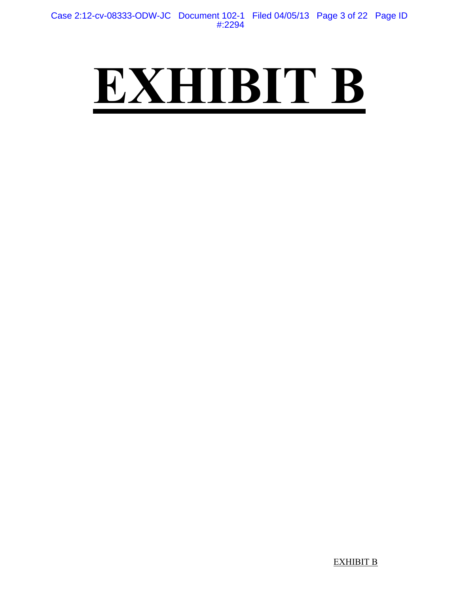## **EXHIBIT B**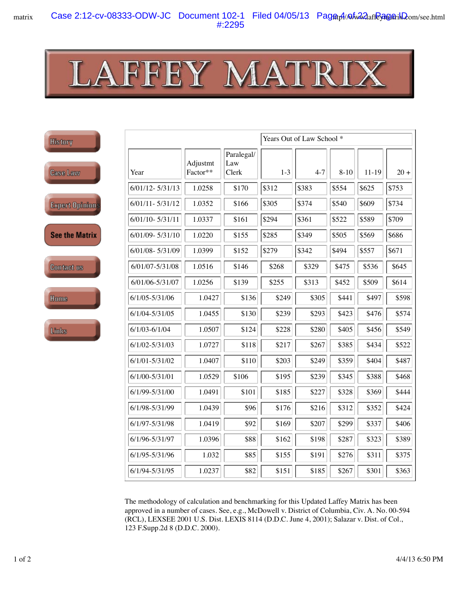**IN** 

|                         |                     |                      |                            | Years Out of Law School * |         |          |           |        |  |
|-------------------------|---------------------|----------------------|----------------------------|---------------------------|---------|----------|-----------|--------|--|
|                         | Year                | Adjustmt<br>Factor** | Paralegal/<br>Law<br>Clerk | $1-3$                     | $4 - 7$ | $8 - 10$ | $11 - 19$ | $20 +$ |  |
|                         | $6/01/12 - 5/31/13$ | 1.0258               | \$170                      | \$312                     | \$383   | \$554    | \$625     | \$753  |  |
| រពិញ្ <sup>កូ</sup> លាន | $6/01/11 - 5/31/12$ | 1.0352               | \$166                      | \$305                     | \$374   | \$540    | \$609     | \$734  |  |
|                         | $6/01/10 - 5/31/11$ | 1.0337               | \$161                      | \$294                     | \$361   | \$522    | \$589     | \$709  |  |
| <b>Aatrix</b>           | 6/01/09-5/31/10     | 1.0220               | \$155                      | \$285                     | \$349   | \$505    | \$569     | \$686  |  |
|                         | 6/01/08-5/31/09     | 1.0399               | \$152                      | \$279                     | \$342   | \$494    | \$557     | \$671  |  |
| 18                      | 6/01/07-5/31/08     | 1.0516               | \$146                      | \$268                     | \$329   | \$475    | \$536     | \$645  |  |
|                         | 6/01/06-5/31/07     | 1.0256               | \$139                      | \$255                     | \$313   | \$452    | \$509     | \$614  |  |
|                         | $6/1/05 - 5/31/06$  | 1.0427               | \$136                      | \$249                     | \$305   | \$441    | \$497     | \$598  |  |
|                         | $6/1/04 - 5/31/05$  | 1.0455               | \$130                      | \$239                     | \$293   | \$423    | \$476     | \$574  |  |
|                         | $6/1/03 - 6/1/04$   | 1.0507               | \$124                      | \$228                     | \$280   | \$405    | \$456     | \$549  |  |
|                         | $6/1/02 - 5/31/03$  | 1.0727               | \$118                      | \$217                     | \$267   | \$385    | \$434     | \$522  |  |
|                         | $6/1/01 - 5/31/02$  | 1.0407               | \$110                      | \$203                     | \$249   | \$359    | \$404     | \$487  |  |
|                         | 6/1/00-5/31/01      | 1.0529               | \$106                      | \$195                     | \$239   | \$345    | \$388     | \$468  |  |
|                         | 6/1/99-5/31/00      | 1.0491               | \$101                      | \$185                     | \$227   | \$328    | \$369     | \$444  |  |
|                         | 6/1/98-5/31/99      | 1.0439               | \$96                       | \$176                     | \$216   | \$312    | \$352     | \$424  |  |
|                         | 6/1/97-5/31/98      | 1.0419               | \$92                       | \$169                     | \$207   | \$299    | \$337     | \$406  |  |
|                         | 6/1/96-5/31/97      | 1.0396               | \$88                       | \$162                     | \$198   | \$287    | \$323     | \$389  |  |
|                         | 6/1/95-5/31/96      | 1.032                | \$85                       | \$155                     | \$191   | \$276    | \$311     | \$375  |  |
|                         | 6/1/94-5/31/95      | 1.0237               | \$82                       | \$151                     | \$185   | \$267    | \$301     | \$363  |  |

The methodology of calculation and benchmarking for this Updated Laffey Matrix has been approved in a number of cases. See, e.g., McDowell v. District of Columbia, Civ. A. No. 00-594 (RCL), LEXSEE 2001 U.S. Dist. LEXIS 8114 (D.D.C. June 4, 2001); Salazar v. Dist. of Col., 123 F.Supp.2d 8 (D.D.C. 2000).

**History** 

**Case Lav** 

Expert 0

See the I

**Contact** 

Home

Links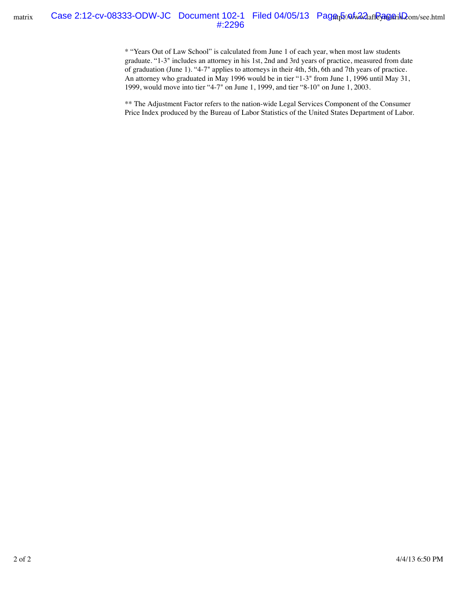\* "Years Out of Law School" is calculated from June 1 of each year, when most law students graduate. "1-3" includes an attorney in his 1st, 2nd and 3rd years of practice, measured from date of graduation (June 1). "4-7" applies to attorneys in their 4th, 5th, 6th and 7th years of practice. An attorney who graduated in May 1996 would be in tier "1-3" from June 1, 1996 until May 31, 1999, would move into tier "4-7" on June 1, 1999, and tier "8-10" on June 1, 2003.

\*\* The Adjustment Factor refers to the nation-wide Legal Services Component of the Consumer Price Index produced by the Bureau of Labor Statistics of the United States Department of Labor.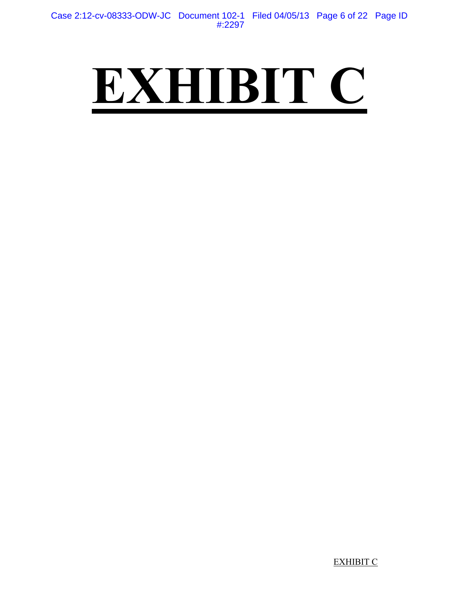## **EXHIBIT C**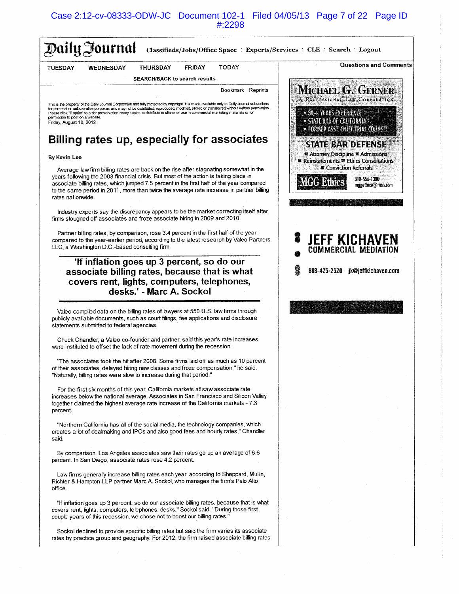Case 2:12-cv-08333-ODW-JC Document 102-1 Filed 04/05/13 Page 7 of 22 Page ID #:2298

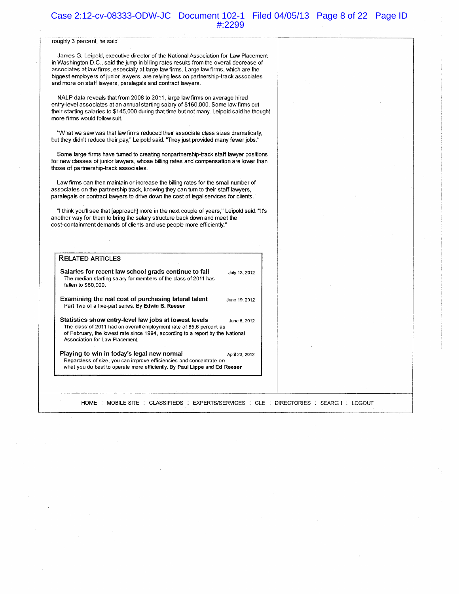#### Case 2:12-cv-08333-ODW-JC Document 102-1 Filed 04/05/13 Page 8 of 22 Page ID #:2299

#### roughly 3 percent, he said.

James G. Leipold, executive director of the National Association for Law Placement in Washington D.C., said the jump in billing rates results from the overall decrease of associates at law firms, especially at large law firms. Large law firms, which are the biggest employers of junior lawyers, are relying less on partnership-track associates and more on staff lawyers, paralegals and contract lawyers.

NALP data reveals that from 2008 to 2011, large law firms on average hired entry-level associates at an annual starting salary of \$160,000. Some law firms cut their starting salaries to \$145,000 during that time but not many. Leipold said he thought more firms would follow suit.

"What we saw was that law firms reduced their associate class sizes dramatically, but they didn't reduce their pay," Leipold said. "They just provided many fewer jobs."

Some large firms have turned to creating nonpartnership-track staff lawyer positions for new classes of junior lawyers, whose billing rates and compensation are lower than those of partnership-track associates.

Law firms can then maintain or increase the billing rates for the small number of associates on the partnership track, knowing they can turn to their staff lawyers, paralegals or contract lawyers to drive down the cost of legal services for clients.

"I think you'll see that [approach] more in the next couple of years," Leipold said. "It's another way for them to bring the salary structure back down and meet the cost-containment demands of clients and use people more efficiently."

#### **RELATED ARTICLES** Salaries for recent law school grads continue to fall July 13, 2012 The median starting salary for members of the class of 2011 has fallen to \$60,000. Examining the real cost of purchasing lateral talent June 19, 2012 Part Two of a five-part series. By Edwin B. Reeser Statistics show entry-level law jobs at lowest levels June 8, 2012 The class of 2011 had an overall employment rate of 85.6 percent as of February, the lowest rate since 1994, according to a report by the National Association for Law Placement. Playing to win in today's legal new normal April 23, 2012 Regardless of size, you can improve efficiencies and concentrate on what you do best to operate more efficiently. By Paul Lippe and Ed Reeser

HOME: MOBILE SITE: CLASSIFIEDS: EXPERTS/SERVICES: CLE: DIRECTORIES: SEARCH: LOGOUT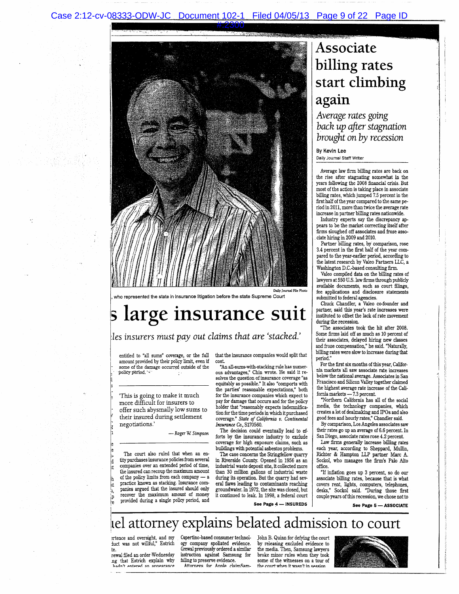

in insurance litigation before the state Supreme Court

## s large insurance suit

#### les insurers must pay out claims that are 'stacked.'

entitled to "all sums" coverage, or the full amount provided by their policy limit, even if some of the damage occurred outside of the policy period.

'This is going to make it much more difficult for insurers to offer such abysmally low sums to their insured during settlement negotiations.

- Roger W. Simpson

The court also ruled that when an entity purchases insurance policies from several companies over an extended period of time, the insured can recoup the maximum amount of the policy limits from each company - a practice known as stacking. Insurance companies argued that the insured should only recover the maximum amount of money provided during a single policy period, and

that the insurance companies would split that cost.

"An all-sums-with-stacking rule has numerous advantages," Chin wrote. He said it resolves the question of insurance coverage "as equitably as possible." It also "comports with the parties' reasonable expectations," both for the insurance companies which expect to pay for damage that occurs and for the policy holder that "reasonably expects indemnification for the time periods in which it purchased<br>coverage." State of California v. Continental Insurance Co., S170560.

The decision could eventually lead to efforts by the insurance industry to exclude coverage for high exposure claims, such as buildings with potential asbestos problems.

The case concerns the Stringfellow quarry in Riverside County. Opened in 1956 as an industrial waste deposit site, it collected more than 30 million gallons of industrial waste during its operation. But the quarry had several flaws leading to contaminants reaching groundwater. In 1972, the site was closed, but it continued to leak. In 1998, a federal court

### Associate billing rates start climbing again

Average rates going back up after stagnation brought on by recession

By Kevin Lee Daily Journal Staff Writer

Average law firm billing rates are back on the rise after stagnating somewhat in the years following the 2008 financial crisis. But most of the action is taking place in associate billing rates, which jumped 7.5 percent in the first half of the year compared to the same period in 2011, more than twice the average rate increase in partner billing rates nationwide.

Industry experts say the discrepancy appears to be the market correcting itself after firms sloughed off associates and froze associate hiring in 2009 and 2010.

Partner billing rates, by comparison, rose 3.4 percent in the first half of the year compared to the year-earlier period, according to the latest research by Valeo Partners LLC, a Washington D.C.-based consulting firm.

Valeo compiled data on the billing rates of lawyers at 550 U.S. law firms through publicly awyers above clear and an anti-architecture available documents, such as court filings, fee applications and disclosure statements submitted to federal agencies.

Chuck Chandler, a Valeo co-founder and partner, said this year's rate increases were instituted to offset the lack of rate movement during the recession.

The associates took the hit after 2008. Some firms laid off as much as 10 percent of their associates, delayed hiring new classes and froze compensation," he said. "Naturally, billing rates were slow to increase during that period.

For the first six months of this year, California markets all saw associate rate increases below the national average. Associates in San Francisco and Silicon Valley together claimed the highest average rate increase of the California markets - 7.3 percent.

"Northern California has all of the social media, the technology companies, which creates a lot of dealmaking and IPOs and also good fees and hourly rates," Chandler said.

By comparison, Los Angeles associates saw their rates go up an average of 6.6 percent. In San Diego, associate rates rose 4.2 percent.

Law firms generally increase billing rates each year, according to Sheppard, Mullin, Richter & Hampton LLP partner Marc A. Sockol, who manages the firm's Palo Alto office.

"If inflation goes up 3 percent, so do our associate billing rates, because that is what covers rent, lights, computers, telephones,<br>desks," Sockol said. "During those first couple years of this recession, we chose not to

See Page 4 - INSUREDS

### lel attorney explains belated admission to court

ertence and oversight, and my<br>duct was not willful," Estrich t۴

rewal filed an order Wednesday ng that Estrich explain why hadn't entered an annearance

Cupertino-based consumer technology company spoliated evidence. Grewal previously ordered a similar instruction against Samsung for failing to preserve evidence. Attorneys for Apple claimSamJohn B. Quinn for defying the court by releasing excluded evidence to<br>the media. Then, Samsung lawyers broke minor rules when they took some of the witnesses on a tour of the court when it wasn't in session



See Page 5 - ASSOCIATE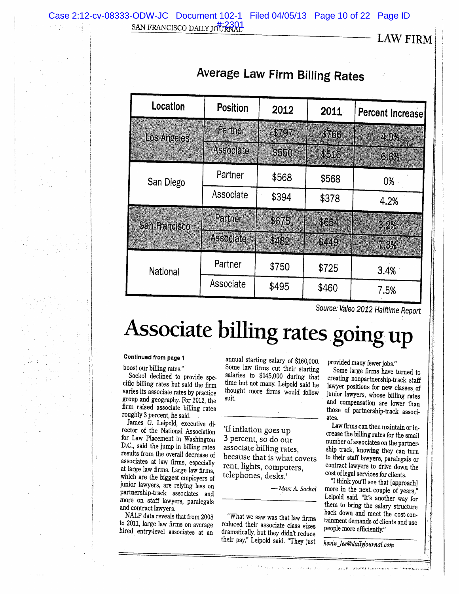LAW FIRM

| Location           | Position         | 2012  | 2011  | Percent Increase |
|--------------------|------------------|-------|-------|------------------|
| <b>Los Angeles</b> | Partner          | \$797 | \$766 | 4.0%             |
|                    | <b>Associate</b> | \$550 | \$516 | 6.6%             |
| San Diego          | Partner          | \$568 | \$568 | 0%               |
|                    | Associate        | \$394 | \$378 | 4.2%             |
| San Francisco      | Partner          | \$675 | \$664 | 3.2%             |
|                    | Associate        | \$482 | \$449 | 7.3%             |
| National           | Partner          | \$750 | \$725 | 3.4%             |
|                    | Associate        | \$495 | \$460 | 7.5%             |

### **Average Law Firm Billing Rates**

Source: Valeo 2012 Halftime Report

## Associate billing rates going up

#### Continued from page 1

boost our billing rates."

Sockol declined to provide specific billing rates but said the firm varies its associate rates by practice group and geography. For 2012, the firm raised associate billing rates roughly 3 percent, he said.

James G. Leipold, executive director of the National Association for Law Placement in Washington D.C., said the jump in billing rates results from the overall decrease of associates at law firms, especially at large law firms. Large law firms, which are the biggest employers of junior lawyers, are relying less on partnership-track associates and more on staff lawyers, paralegals and contract lawyers.

NALP data reveals that from 2008 to 2011, large law firms on average hired entry-level associates at an

annual starting salary of \$160,000. Some law firms cut their starting salaries to \$145,000 during that time but not many. Leipold said he thought more firms would follow suit.

'If inflation goes up 3 percent, so do our associate billing rates, because that is what covers rent, lights, computers, telephones, desks.'

-Marc A. Sockol

labourness

"What we saw was that law firms reduced their associate class sizes dramatically, but they didn't reduce their pay," Leipold said. "They just provided many fewer jobs."

Some large firms have turned to creating nonpartnership-track staff lawyer positions for new classes of junior lawyers, whose billing rates and compensation are lower than those of partnership-track associates.

Law firms can then maintain or increase the billing rates for the small number of associates on the partnership track, knowing they can turn to their staff lawyers, paralegals or contract lawyers to drive down the cost of legal services for clients.

"I think you'll see that [approach] more in the next couple of years," Leipold said. "It's another way for them to bring the salary structure back down and meet the cost-containment demands of clients and use people more efficiently."

kevin\_lee@dailyjournal.com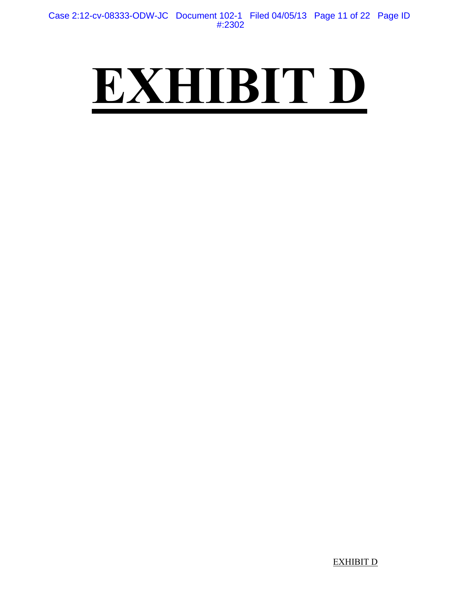## **EXHIBIT D**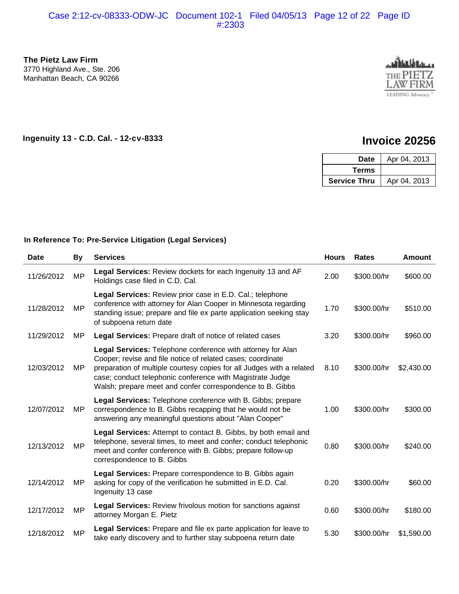**The Pietz Law Firm** 3770 Highland Ave., Ste. 206 Manhattan Beach, CA 90266



#### **Ingenuity 13 - C.D. Cal. - 12-cv-8333 Invoice 20256**

| Date                | Apr 04, 2013 |
|---------------------|--------------|
| Terms               |              |
| <b>Service Thru</b> | Apr 04, 2013 |

#### **In Reference To: Pre-Service Litigation (Legal Services)**

| <b>Date</b> | <b>By</b> | <b>Services</b>                                                                                                                                                                                                                                                                                                               | <b>Hours</b> | <b>Rates</b> | <b>Amount</b> |
|-------------|-----------|-------------------------------------------------------------------------------------------------------------------------------------------------------------------------------------------------------------------------------------------------------------------------------------------------------------------------------|--------------|--------------|---------------|
| 11/26/2012  | <b>MP</b> | Legal Services: Review dockets for each Ingenuity 13 and AF<br>Holdings case filed in C.D. Cal.                                                                                                                                                                                                                               | 2.00         | \$300.00/hr  | \$600.00      |
| 11/28/2012  | MP        | Legal Services: Review prior case in E.D. Cal.; telephone<br>conference with attorney for Alan Cooper in Minnesota regarding<br>standing issue; prepare and file ex parte application seeking stay<br>of subpoena return date                                                                                                 | 1.70         | \$300.00/hr  | \$510.00      |
| 11/29/2012  | ΜP        | <b>Legal Services:</b> Prepare draft of notice of related cases                                                                                                                                                                                                                                                               | 3.20         | \$300.00/hr  | \$960.00      |
| 12/03/2012  | MP        | Legal Services: Telephone conference with attorney for Alan<br>Cooper; revise and file notice of related cases; coordinate<br>preparation of multiple courtesy copies for all Judges with a related<br>case; conduct telephonic conference with Magistrate Judge<br>Walsh; prepare meet and confer correspondence to B. Gibbs | 8.10         | \$300.00/hr  | \$2,430.00    |
| 12/07/2012  | MP        | Legal Services: Telephone conference with B. Gibbs; prepare<br>correspondence to B. Gibbs recapping that he would not be<br>answering any meaningful questions about "Alan Cooper"                                                                                                                                            | 1.00         | \$300.00/hr  | \$300.00      |
| 12/13/2012  | MP        | Legal Services: Attempt to contact B. Gibbs, by both email and<br>telephone, several times, to meet and confer; conduct telephonic<br>meet and confer conference with B. Gibbs; prepare follow-up<br>correspondence to B. Gibbs                                                                                               | 0.80         | \$300.00/hr  | \$240.00      |
| 12/14/2012  | MP        | <b>Legal Services: Prepare correspondence to B. Gibbs again</b><br>asking for copy of the verification he submitted in E.D. Cal.<br>Ingenuity 13 case                                                                                                                                                                         | 0.20         | \$300.00/hr  | \$60.00       |
| 12/17/2012  | <b>MP</b> | Legal Services: Review frivolous motion for sanctions against<br>attorney Morgan E. Pietz                                                                                                                                                                                                                                     | 0.60         | \$300.00/hr  | \$180.00      |
| 12/18/2012  | MP        | Legal Services: Prepare and file ex parte application for leave to<br>take early discovery and to further stay subpoena return date                                                                                                                                                                                           | 5.30         | \$300.00/hr  | \$1,590.00    |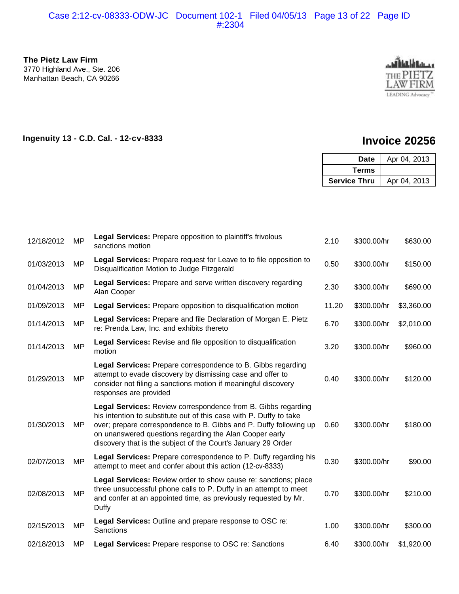#### Case 2:12-cv-08333-ODW-JC Document 102-1 Filed 04/05/13 Page 13 of 22 Page ID #:2304

**The Pietz Law Firm** 3770 Highland Ave., Ste. 206 Manhattan Beach, CA 90266

02/08/2013 MP

Duffy



#### **Ingenuity 13 - C.D. Cal. - 12-cv-8333 Invoice 20256**

0.70 \$300.00/hr \$210.00

|            |           |                                                                                                                                                                                                                                                                                                                                       |       | <b>Date</b>         | Apr 04, 2013 |
|------------|-----------|---------------------------------------------------------------------------------------------------------------------------------------------------------------------------------------------------------------------------------------------------------------------------------------------------------------------------------------|-------|---------------------|--------------|
|            |           |                                                                                                                                                                                                                                                                                                                                       |       | <b>Terms</b>        |              |
|            |           |                                                                                                                                                                                                                                                                                                                                       |       | <b>Service Thru</b> | Apr 04, 2013 |
|            |           |                                                                                                                                                                                                                                                                                                                                       |       |                     |              |
| 12/18/2012 | <b>MP</b> | <b>Legal Services:</b> Prepare opposition to plaintiff's frivolous<br>sanctions motion                                                                                                                                                                                                                                                | 2.10  | \$300.00/hr         | \$630.00     |
| 01/03/2013 | MP        | Legal Services: Prepare request for Leave to to file opposition to<br>Disqualification Motion to Judge Fitzgerald                                                                                                                                                                                                                     | 0.50  | \$300.00/hr         | \$150.00     |
| 01/04/2013 | MP        | <b>Legal Services: Prepare and serve written discovery regarding</b><br>Alan Cooper                                                                                                                                                                                                                                                   | 2.30  | \$300.00/hr         | \$690.00     |
| 01/09/2013 | ΜP        | Legal Services: Prepare opposition to disqualification motion                                                                                                                                                                                                                                                                         | 11.20 | \$300.00/hr         | \$3,360.00   |
| 01/14/2013 | <b>MP</b> | Legal Services: Prepare and file Declaration of Morgan E. Pietz<br>re: Prenda Law, Inc. and exhibits thereto                                                                                                                                                                                                                          | 6.70  | \$300.00/hr         | \$2,010.00   |
| 01/14/2013 | MP        | Legal Services: Revise and file opposition to disqualification<br>motion                                                                                                                                                                                                                                                              | 3.20  | \$300.00/hr         | \$960.00     |
| 01/29/2013 | <b>MP</b> | Legal Services: Prepare correspondence to B. Gibbs regarding<br>attempt to evade discovery by dismissing case and offer to<br>consider not filing a sanctions motion if meaningful discovery<br>responses are provided                                                                                                                | 0.40  | \$300.00/hr         | \$120.00     |
| 01/30/2013 | MP        | Legal Services: Review correspondence from B. Gibbs regarding<br>his intention to substitute out of this case with P. Duffy to take<br>over; prepare correspondence to B. Gibbs and P. Duffy following up<br>on unanswered questions regarding the Alan Cooper early<br>discovery that is the subject of the Court's January 29 Order | 0.60  | \$300.00/hr         | \$180.00     |
| 02/07/2013 | MP        | Legal Services: Prepare correspondence to P. Duffy regarding his<br>attempt to meet and confer about this action (12-cv-8333)                                                                                                                                                                                                         | 0.30  | \$300.00/hr         | \$90.00      |

**Legal Services:** Review order to show cause re: sanctions; place three unsuccessful phone calls to P. Duffy in an attempt to meet and confer at an appointed time, as previously requested by Mr.

**Legal Services:** Prepare correspondence to B. Gibbs again **Legal Services:** Review order to show cause re: sanctions

12/17/2012 MP **Legal Services:**  $R$  Review friends against the sanctions against a sanction for sanctions against the sanctions against the sanctions against the sanctions against the sanctions against the sanctions agains

12/15/2013 MP **Sanctions**<br> $\frac{1}{2}$  Sanction for leave to leave to leave to leave to leave to leave to leave to leave to leave to leave to leave to leave to leave to leave to leave to leave to leave to leave to leave to le

02/15/2013 MP Legal Services: Outline and prepare response to OSC re: 1.00 \$300.00/hr \$300.00<br>Sanctions

attorney Morgan E. Pietz 0.60 \$300.00/hr \$180.00

 $t$ 

02/18/2013 MP **Legal Services:** Prepare response to OSC re: Sanctions 6.40 \$300.00/hr \$1,920.00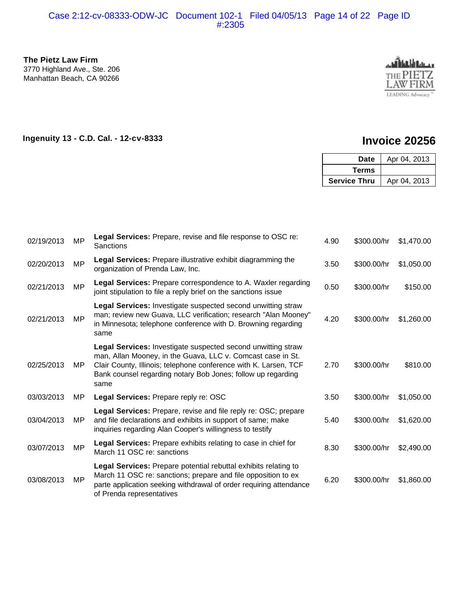#### Case 2:12-cv-08333-ODW-JC Document 102-1 Filed 04/05/13 Page 14 of 22 Page ID #:2305

**The Pietz Law Firm** 3770 Highland Ave., Ste. 206 Manhattan Beach, CA 90266



#### **Ingenuity 13 - C.D. Cal. - 12-cv-8333 Invoice 20256**

|            |           |                                                                                                                                                                                                                                                                         |              | <b>Date</b>         | Apr 04, 2013 |
|------------|-----------|-------------------------------------------------------------------------------------------------------------------------------------------------------------------------------------------------------------------------------------------------------------------------|--------------|---------------------|--------------|
|            |           |                                                                                                                                                                                                                                                                         | <b>Terms</b> |                     |              |
|            |           |                                                                                                                                                                                                                                                                         |              | <b>Service Thru</b> | Apr 04, 2013 |
|            |           |                                                                                                                                                                                                                                                                         |              |                     |              |
| 02/19/2013 | MP        | Legal Services: Prepare, revise and file response to OSC re:<br>Sanctions                                                                                                                                                                                               | 4.90         | \$300.00/hr         | \$1,470.00   |
| 02/20/2013 | MP        | Legal Services: Prepare illustrative exhibit diagramming the<br>organization of Prenda Law, Inc.                                                                                                                                                                        | 3.50         | \$300.00/hr         | \$1,050.00   |
| 02/21/2013 | <b>MP</b> | Legal Services: Prepare correspondence to A. Waxler regarding<br>joint stipulation to file a reply brief on the sanctions issue                                                                                                                                         | 0.50         | \$300.00/hr         | \$150.00     |
| 02/21/2013 | <b>MP</b> | Legal Services: Investigate suspected second unwitting straw<br>man; review new Guava, LLC verification; research "Alan Mooney"<br>in Minnesota; telephone conference with D. Browning regarding<br>same                                                                | 4.20         | \$300.00/hr         | \$1,260.00   |
| 02/25/2013 | <b>MP</b> | Legal Services: Investigate suspected second unwitting straw<br>man, Allan Mooney, in the Guava, LLC v. Comcast case in St.<br>Clair County, Illinois; telephone conference with K. Larsen, TCF<br>Bank counsel regarding notary Bob Jones; follow up regarding<br>same | 2.70         | \$300.00/hr         | \$810.00     |
| 03/03/2013 | MP        | Legal Services: Prepare reply re: OSC                                                                                                                                                                                                                                   | 3.50         | \$300.00/hr         | \$1,050.00   |
| 03/04/2013 | MP        | Legal Services: Prepare, revise and file reply re: OSC; prepare<br>and file declarations and exhibits in support of same; make<br>inquiries regarding Alan Cooper's willingness to testify                                                                              | 5.40         | \$300.00/hr         | \$1,620.00   |
| 03/07/2013 | <b>MP</b> | Legal Services: Prepare exhibits relating to case in chief for<br>March 11 OSC re: sanctions                                                                                                                                                                            | 8.30         | \$300.00/hr         | \$2,490.00   |
| 03/08/2013 | <b>MP</b> | Legal Services: Prepare potential rebuttal exhibits relating to<br>March 11 OSC re: sanctions; prepare and file opposition to ex<br>parte application seeking withdrawal of order requiring attendance<br>of Prenda representatives                                     | 6.20         | \$300.00/hr         | \$1,860.00   |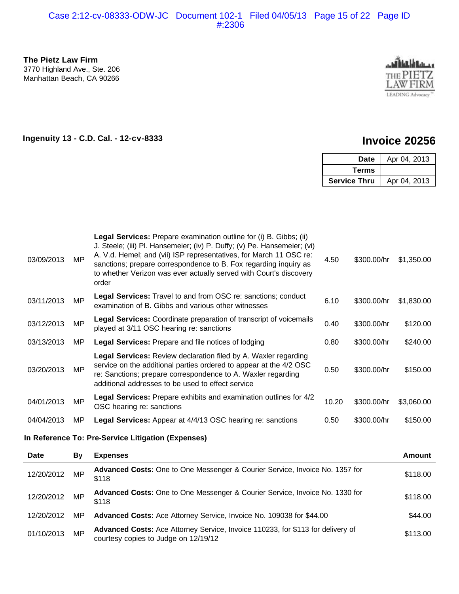#### Case 2:12-cv-08333-ODW-JC Document 102-1 Filed 04/05/13 Page 15 of 22 Page ID #:2306



#### **Ingenuity 13 - C.D. Cal. - 12-cv-8333 Invoice 20256**

| Date                | Apr 04, 2013 |
|---------------------|--------------|
| Terms               |              |
| <b>Service Thru</b> | Apr 04, 2013 |

| The Pietz Law Firm<br>3770 Highland Ave., Ste. 206<br>Manhattan Beach, CA 90266 |           |                                                                                                                                                                                                                                                                                                                                                                         |       |                     | LEADING Advocacy     |
|---------------------------------------------------------------------------------|-----------|-------------------------------------------------------------------------------------------------------------------------------------------------------------------------------------------------------------------------------------------------------------------------------------------------------------------------------------------------------------------------|-------|---------------------|----------------------|
|                                                                                 |           | Ingenuity 13 - C.D. Cal. - 12-cv-8333                                                                                                                                                                                                                                                                                                                                   |       |                     | <b>Invoice 20256</b> |
|                                                                                 |           |                                                                                                                                                                                                                                                                                                                                                                         |       | <b>Date</b>         | Apr 04, 2013         |
|                                                                                 |           |                                                                                                                                                                                                                                                                                                                                                                         |       | <b>Terms</b>        |                      |
|                                                                                 |           |                                                                                                                                                                                                                                                                                                                                                                         |       | <b>Service Thru</b> | Apr 04, 2013         |
| 03/09/2013                                                                      | <b>MP</b> | Legal Services: Prepare examination outline for (i) B. Gibbs; (ii)<br>J. Steele; (iii) Pl. Hansemeier; (iv) P. Duffy; (v) Pe. Hansemeier; (vi)<br>A. V.d. Hemel; and (vii) ISP representatives, for March 11 OSC re:<br>sanctions; prepare correspondence to B. Fox regarding inquiry as<br>to whether Verizon was ever actually served with Court's discovery<br>order | 4.50  | \$300.00/hr         | \$1,350.00           |
| 03/11/2013                                                                      | <b>MP</b> | Legal Services: Travel to and from OSC re: sanctions; conduct<br>examination of B. Gibbs and various other witnesses                                                                                                                                                                                                                                                    | 6.10  | \$300.00/hr         | \$1,830.00           |
| 03/12/2013                                                                      | <b>MP</b> | Legal Services: Coordinate preparation of transcript of voicemails<br>played at 3/11 OSC hearing re: sanctions                                                                                                                                                                                                                                                          | 0.40  | \$300.00/hr         | \$120.00             |
| 03/13/2013                                                                      | MP        | Legal Services: Prepare and file notices of lodging                                                                                                                                                                                                                                                                                                                     | 0.80  | \$300.00/hr         | \$240.00             |
| 03/20/2013                                                                      | <b>MP</b> | <b>Legal Services: Review declaration filed by A. Waxler regarding</b><br>service on the additional parties ordered to appear at the 4/2 OSC<br>re: Sanctions; prepare correspondence to A. Waxler regarding<br>additional addresses to be used to effect service                                                                                                       | 0.50  | \$300.00/hr         | \$150.00             |
| 04/01/2013                                                                      | <b>MP</b> | Legal Services: Prepare exhibits and examination outlines for 4/2<br>OSC hearing re: sanctions                                                                                                                                                                                                                                                                          | 10.20 | \$300.00/hr         | \$3,060.00           |
| 04/04/2013                                                                      | ΜP        | Legal Services: Appear at 4/4/13 OSC hearing re: sanctions                                                                                                                                                                                                                                                                                                              | 0.50  | \$300.00/hr         | \$150.00             |
|                                                                                 |           | In Reference To: Pre-Service Litigation (Expenses)                                                                                                                                                                                                                                                                                                                      |       |                     |                      |
| <b>Date</b>                                                                     | By        | <b>Expenses</b>                                                                                                                                                                                                                                                                                                                                                         |       |                     | <b>Amount</b>        |
| 12/20/2012                                                                      | <b>MP</b> | Advanced Costs: One to One Messenger & Courier Service, Invoice No. 1357 for<br>\$118                                                                                                                                                                                                                                                                                   |       |                     | \$118.00             |
| 12/20/2012                                                                      | MP        | Advanced Costs: One to One Messenger & Courier Service, Invoice No. 1330 for<br>\$118                                                                                                                                                                                                                                                                                   |       |                     | \$118.00             |
| 12/20/2012                                                                      | ΜP        | Advanced Costs: Ace Attorney Service, Invoice No. 109038 for \$44.00                                                                                                                                                                                                                                                                                                    |       |                     | \$44.00              |
| 01/10/2013                                                                      | MP        | Advanced Costs: Ace Attorney Service, Invoice 110233, for \$113 for delivery of<br>courtesy copies to Judge on 12/19/12                                                                                                                                                                                                                                                 |       |                     | \$113.00             |

#### In Reference To: Pre-Service Litigation (Expenses) telephone, several times, the metal telephone and content telephone and content telephone and content telephone

| <b>Date</b> | Bv  | <b>Expenses</b>                                                                                                         | <b>Amount</b> |
|-------------|-----|-------------------------------------------------------------------------------------------------------------------------|---------------|
| 12/20/2012  | MP  | Advanced Costs: One to One Messenger & Courier Service, Invoice No. 1357 for<br>\$118                                   | \$118.00      |
| 12/20/2012  | MP  | Advanced Costs: One to One Messenger & Courier Service, Invoice No. 1330 for<br>\$118                                   | \$118.00      |
| 12/20/2012  | MP  | Advanced Costs: Ace Attorney Service, Invoice No. 109038 for \$44.00                                                    | \$44.00       |
| 01/10/2013  | MP. | Advanced Costs: Ace Attorney Service, Invoice 110233, for \$113 for delivery of<br>courtesy copies to Judge on 12/19/12 | \$113.00      |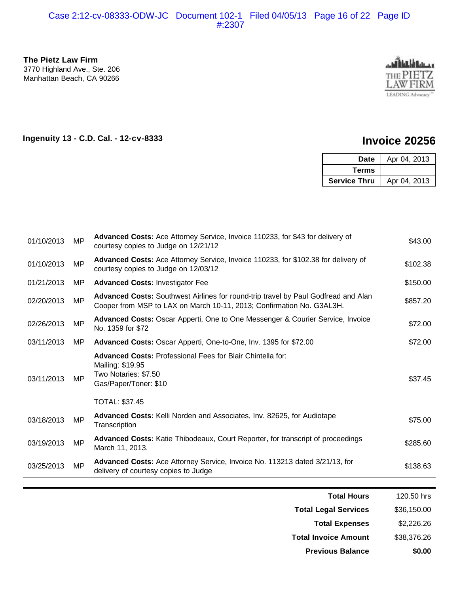**The Pietz Law Firm** 3770 Highland Ave., Ste. 206 Manhattan Beach, CA 90266



**Ingenuity 13 - C.D. Cal. - 12-cv-8333 Invoice 20256**

| Date                | Apr 04, 2013 |
|---------------------|--------------|
| Terms               |              |
| <b>Service Thru</b> | Apr 04, 2013 |

| 01/10/2013 | MP        | Advanced Costs: Ace Attorney Service, Invoice 110233, for \$43 for delivery of<br>courtesy copies to Judge on 12/21/12                                      | \$43.00  |
|------------|-----------|-------------------------------------------------------------------------------------------------------------------------------------------------------------|----------|
| 01/10/2013 | MP        | Advanced Costs: Ace Attorney Service, Invoice 110233, for \$102.38 for delivery of<br>courtesy copies to Judge on 12/03/12                                  | \$102.38 |
| 01/21/2013 | MP.       | <b>Advanced Costs: Investigator Fee</b>                                                                                                                     | \$150.00 |
| 02/20/2013 | MP        | Advanced Costs: Southwest Airlines for round-trip travel by Paul Godfread and Alan<br>Cooper from MSP to LAX on March 10-11, 2013; Confirmation No. G3AL3H. | \$857.20 |
| 02/26/2013 | MP        | Advanced Costs: Oscar Apperti, One to One Messenger & Courier Service, Invoice<br>No. 1359 for \$72                                                         | \$72.00  |
| 03/11/2013 | MP.       | Advanced Costs: Oscar Apperti, One-to-One, Inv. 1395 for \$72.00                                                                                            | \$72.00  |
| 03/11/2013 | MP        | <b>Advanced Costs: Professional Fees for Blair Chintella for:</b><br>Mailing: \$19.95<br>Two Notaries: \$7.50<br>Gas/Paper/Toner: \$10                      | \$37.45  |
|            |           | TOTAL: \$37.45                                                                                                                                              |          |
| 03/18/2013 | MP        | <b>Advanced Costs:</b> Kelli Norden and Associates, Inv. 82625, for Audiotape<br>Transcription                                                              | \$75.00  |
| 03/19/2013 | <b>MP</b> | <b>Advanced Costs:</b> Katie Thibodeaux, Court Reporter, for transcript of proceedings<br>March 11, 2013.                                                   | \$285.60 |
| 03/25/2013 | <b>MP</b> | Advanced Costs: Ace Attorney Service, Invoice No. 113213 dated 3/21/13, for<br>delivery of courtesy copies to Judge                                         | \$138.63 |

| <b>Previous Balance</b>     | \$0.00      |
|-----------------------------|-------------|
| <b>Total Invoice Amount</b> | \$38,376.26 |
| <b>Total Expenses</b>       | \$2,226.26  |
| <b>Total Legal Services</b> | \$36,150.00 |
| <b>Total Hours</b>          | 120.50 hrs  |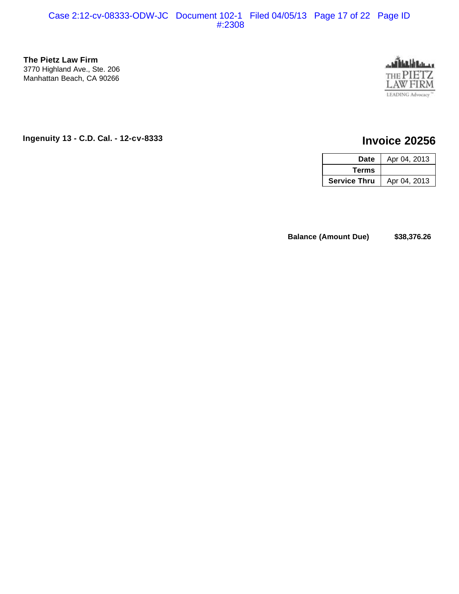#### **The Pietz Law Firm** 3770 Highland Ave., Ste. 206 Manhattan Beach, CA 90266



### **Ingenuity 13 - C.D. Cal. - 12-cv-8333 Invoice 20256**

| Date                | Apr 04, 2013 |
|---------------------|--------------|
| <b>Terms</b>        |              |
| <b>Service Thru</b> | Apr 04, 2013 |

**Balance (Amount Due)**  $$38,376.26$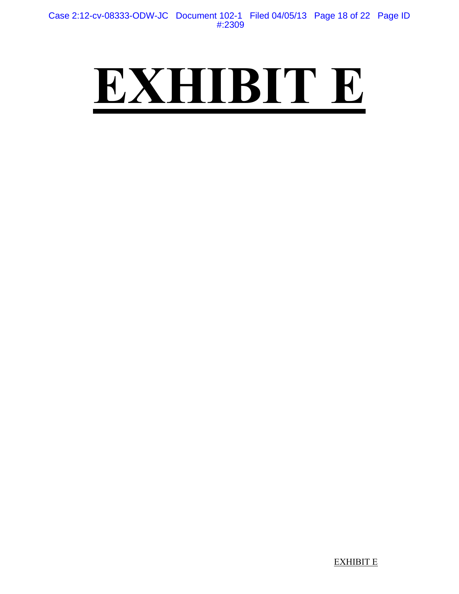## **EXHIBIT E**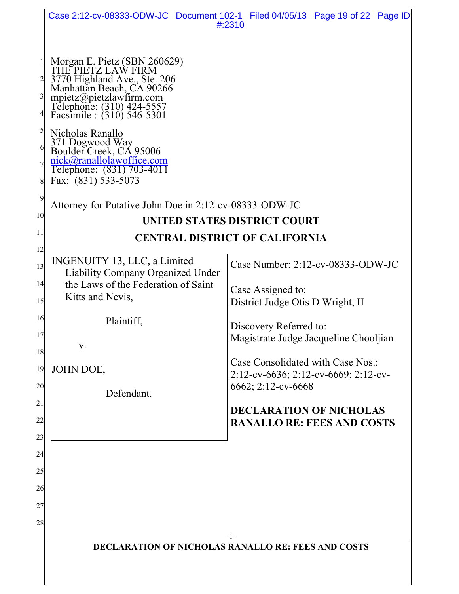|                  |                                                                                                                                                                                                       | Case 2:12-cv-08333-ODW-JC Document 102-1 Filed 04/05/13 Page 19 of 22 Page ID<br>#:2310 |  |
|------------------|-------------------------------------------------------------------------------------------------------------------------------------------------------------------------------------------------------|-----------------------------------------------------------------------------------------|--|
|                  |                                                                                                                                                                                                       |                                                                                         |  |
|                  | Morgan E. Pietz (SBN 260629)<br>THE PIETZ LAW FIRM<br>3770 Highland Ave., Ste. 206<br>Manhattan Beach, CA 90266<br>mpietz@pietzlawfirm.com<br>Telephone: (310) 424-5557<br>Facsimile : (310) 546-5301 |                                                                                         |  |
| 5<br>6<br>7<br>8 | Nicholas Ranallo<br>371 Dogwood Way<br>Boulder Creek, CA 95006<br>nick@ranallolawoffice.com<br>Telephone: (831) 703-4011<br>Fax: (831) 533-5073                                                       |                                                                                         |  |
| 9                | Attorney for Putative John Doe in 2:12-cv-08333-ODW-JC                                                                                                                                                |                                                                                         |  |
| 10 <sup>1</sup>  | UNITED STATES DISTRICT COURT                                                                                                                                                                          |                                                                                         |  |
| 11               | <b>CENTRAL DISTRICT OF CALIFORNIA</b>                                                                                                                                                                 |                                                                                         |  |
| 12               | INGENUITY 13, LLC, a Limited                                                                                                                                                                          |                                                                                         |  |
| 13               | <b>Liability Company Organized Under</b>                                                                                                                                                              | Case Number: 2:12-cv-08333-ODW-JC                                                       |  |
| 14 <br>15        | the Laws of the Federation of Saint<br>Kitts and Nevis,                                                                                                                                               | Case Assigned to:                                                                       |  |
| 16               |                                                                                                                                                                                                       | District Judge Otis D Wright, II                                                        |  |
| 17               | Plaintiff,                                                                                                                                                                                            | Discovery Referred to:<br>Magistrate Judge Jacqueline Chooljian                         |  |
| 18               | V.                                                                                                                                                                                                    |                                                                                         |  |
| 19               | JOHN DOE,                                                                                                                                                                                             | Case Consolidated with Case Nos.:<br>2:12-cv-6636; 2:12-cv-6669; 2:12-cv-               |  |
| 20               | Defendant.                                                                                                                                                                                            | 6662; 2:12-cv-6668                                                                      |  |
| 21               |                                                                                                                                                                                                       | <b>DECLARATION OF NICHOLAS</b>                                                          |  |
| 22               |                                                                                                                                                                                                       | <b>RANALLO RE: FEES AND COSTS</b>                                                       |  |
| 23               |                                                                                                                                                                                                       |                                                                                         |  |
| 24<br>25         |                                                                                                                                                                                                       |                                                                                         |  |
| 26               |                                                                                                                                                                                                       |                                                                                         |  |
| 27               |                                                                                                                                                                                                       |                                                                                         |  |
| 28               |                                                                                                                                                                                                       |                                                                                         |  |
|                  |                                                                                                                                                                                                       | -1-                                                                                     |  |
|                  | <b>DECLARATION OF NICHOLAS RANALLO RE: FEES AND COSTS</b>                                                                                                                                             |                                                                                         |  |
|                  |                                                                                                                                                                                                       |                                                                                         |  |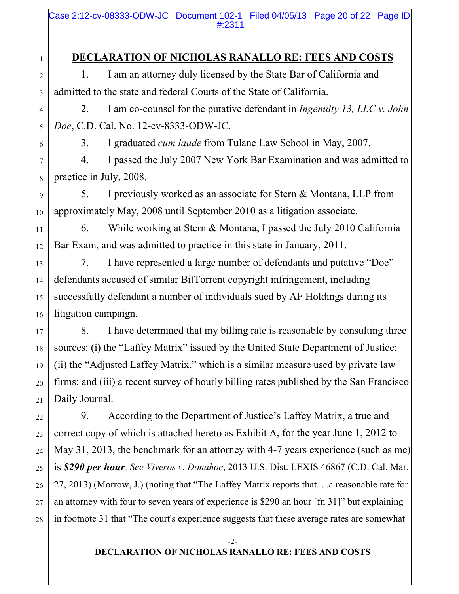Case 2:12-cv-08333-ODW-JC Document 102-1 Filed 04/05/13 Page 20 of 22 Page ID #:2311

### **DECLARATION OF NICHOLAS RANALLO RE: FEES AND COSTS**

1. I am an attorney duly licensed by the State Bar of California and admitted to the state and federal Courts of the State of California.

2. I am co-counsel for the putative defendant in *Ingenuity 13, LLC v. John Doe*, C.D. Cal. No. 12-cv-8333-ODW-JC.

3. I graduated *cum laude* from Tulane Law School in May, 2007.

4. I passed the July 2007 New York Bar Examination and was admitted to practice in July, 2008.

5. I previously worked as an associate for Stern & Montana, LLP from approximately May, 2008 until September 2010 as a litigation associate.

6. While working at Stern & Montana, I passed the July 2010 California Bar Exam, and was admitted to practice in this state in January, 2011.

7. I have represented a large number of defendants and putative "Doe" defendants accused of similar BitTorrent copyright infringement, including successfully defendant a number of individuals sued by AF Holdings during its litigation campaign.

8. I have determined that my billing rate is reasonable by consulting three sources: (i) the "Laffey Matrix" issued by the United State Department of Justice; (ii) the "Adjusted Laffey Matrix," which is a similar measure used by private law firms; and (iii) a recent survey of hourly billing rates published by the San Francisco Daily Journal.

9. According to the Department of Justice's Laffey Matrix, a true and correct copy of which is attached hereto as Exhibit A, for the year June 1, 2012 to May 31, 2013, the benchmark for an attorney with 4-7 years experience (such as me) is *\$290 per hour*. *See Viveros v. Donahoe*, 2013 U.S. Dist. LEXIS 46867 (C.D. Cal. Mar. 27, 2013) (Morrow, J.) (noting that "The Laffey Matrix reports that. . .a reasonable rate for an attorney with four to seven years of experience is \$290 an hour [fn 31]" but explaining in footnote 31 that "The court's experience suggests that these average rates are somewhat

#### **DECLARATION OF NICHOLAS RANALLO RE: FEES AND COSTS**

15

16

17

18

19

20

21

22

23

24

25

26

27

28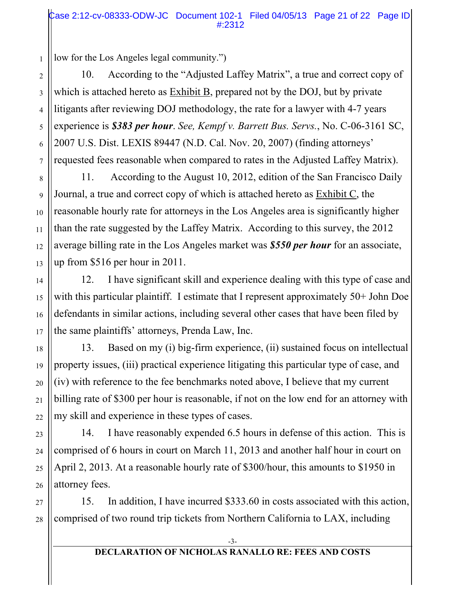low for the Los Angeles legal community.")

10. According to the "Adjusted Laffey Matrix", a true and correct copy of which is attached hereto as Exhibit B, prepared not by the DOJ, but by private litigants after reviewing DOJ methodology, the rate for a lawyer with 4-7 years experience is *\$383 per hour*. *See, Kempf v. Barrett Bus. Servs.*, No. C-06-3161 SC, 2007 U.S. Dist. LEXIS 89447 (N.D. Cal. Nov. 20, 2007) (finding attorneys' requested fees reasonable when compared to rates in the Adjusted Laffey Matrix).

11. According to the August 10, 2012, edition of the San Francisco Daily Journal, a true and correct copy of which is attached hereto as Exhibit C, the reasonable hourly rate for attorneys in the Los Angeles area is significantly higher than the rate suggested by the Laffey Matrix. According to this survey, the 2012 average billing rate in the Los Angeles market was *\$550 per hour* for an associate, up from \$516 per hour in 2011.

12. I have significant skill and experience dealing with this type of case and with this particular plaintiff. I estimate that I represent approximately 50+ John Doe defendants in similar actions, including several other cases that have been filed by the same plaintiffs' attorneys, Prenda Law, Inc.

13. Based on my (i) big-firm experience, (ii) sustained focus on intellectual property issues, (iii) practical experience litigating this particular type of case, and (iv) with reference to the fee benchmarks noted above, I believe that my current billing rate of \$300 per hour is reasonable, if not on the low end for an attorney with my skill and experience in these types of cases.

14. I have reasonably expended 6.5 hours in defense of this action. This is comprised of 6 hours in court on March 11, 2013 and another half hour in court on April 2, 2013. At a reasonable hourly rate of \$300/hour, this amounts to \$1950 in attorney fees.

27 28 15. In addition, I have incurred \$333.60 in costs associated with this action, comprised of two round trip tickets from Northern California to LAX, including

1

2

3

4

5

6

7

8

9

10

11

12

13

14

15

16

17

18

19

20

21

22

23

24

25

26